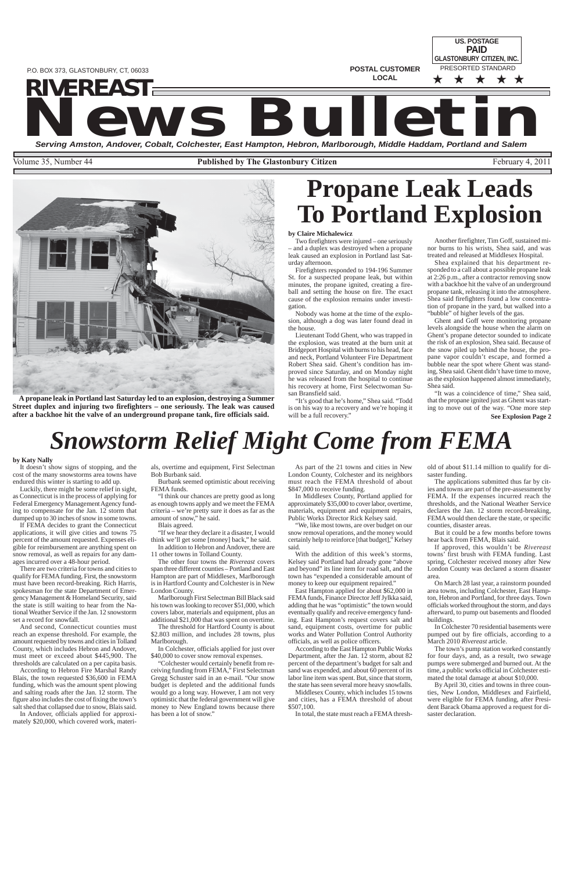**US. POSTAGE**

**POSTAL CUSTOMER**

**LOCAL**

PRESORTED STANDARD ★ ★ ★ ★ ★ **PAID GLASTONBURY CITIZEN, INC.**

# **NEWS BULLET AND SERVICE AND SERVICE AND SERVICE AND SERVICE AND SERVICE AND SERVICE AND SERVICE AND SERVICE AND SERVICE AND SERVICE AND SERVICE AND SERVICE AND SERVICE AND SERVICE AND SERVICE AND SERVICE AND SERVICE AND S** *RIVEREAST*

Volume 35, Number 44 **Published by The Glastonbury Citizen** February 4, 2011



P.O. BOX 373, GLASTONBURY, CT, 06033

# **Propane Leak Leads To Portland Explosion**

#### **by Claire Michalewicz**

Two firefighters were injured – one seriously – and a duplex was destroyed when a propane leak caused an explosion in Portland last Saturday afternoon.

"It's good that he's home," Shea said. "Todd is on his way to a recovery and we're hoping it will be a full recovery."

Firefighters responded to 194-196 Summer St. for a suspected propane leak, but within minutes, the propane ignited, creating a fireball and setting the house on fire. The exact cause of the explosion remains under investigation.

Nobody was home at the time of the explosion, although a dog was later found dead in the house.

Lieutenant Todd Ghent, who was trapped in the explosion, was treated at the burn unit at Bridgeport Hospital with burns to his head, face and neck, Portland Volunteer Fire Department Robert Shea said. Ghent's condition has improved since Saturday, and on Monday night he was released from the hospital to continue his recovery at home, First Selectwoman Susan Bransfield said.

**See Explosion Page 2** "It was a coincidence of time," Shea said, that the propane ignited just as Ghent was starting to move out of the way. "One more step

Another firefighter, Tim Goff, sustained minor burns to his wrists, Shea said, and was treated and released at Middlesex Hospital.

Shea explained that his department responded to a call about a possible propane leak at 2:26 p.m., after a contractor removing snow with a backhoe hit the valve of an underground propane tank, releasing it into the atmosphere. Shea said firefighters found a low concentration of propane in the yard, but walked into a "bubble" of higher levels of the gas.

Ghent and Goff were monitoring propane levels alongside the house when the alarm on Ghent's propane detector sounded to indicate the risk of an explosion, Shea said. Because of the snow piled up behind the house, the propane vapor couldn't escape, and formed a bubble near the spot where Ghent was standing, Shea said. Ghent didn't have time to move, as the explosion happened almost immediately, Shea said.

In Colchester, officials applied for just over \$40,000 to cover snow removal expenses.

# *Snowstorm Relief Might Come from FEMA*

#### **by Katy Nally**

It doesn't show signs of stopping, and the cost of the many snowstorms area towns have endured this winter is starting to add up.

Luckily, there might be some relief in sight, as Connecticut is in the process of applying for Federal Emergency Management Agency funding to compensate for the Jan. 12 storm that dumped up to 30 inches of snow in some towns.

If FEMA decides to grant the Connecticut applications, it will give cities and towns 75 percent of the amount requested. Expenses eligible for reimbursement are anything spent on snow removal, as well as repairs for any damages incurred over a 48-hour period.

There are two criteria for towns and cities to qualify for FEMA funding. First, the snowstorm must have been record-breaking. Rich Harris, spokesman for the state Department of Emergency Management & Homeland Security, said the state is still waiting to hear from the National Weather Service if the Jan. 12 snowstorm set a record for snowfall.

And second, Connecticut counties must reach an expense threshold. For example, the amount requested by towns and cities in Tolland County, which includes Hebron and Andover, must meet or exceed about \$445,900. The thresholds are calculated on a per capita basis. According to Hebron Fire Marshal Randy Blais, the town requested \$36,600 in FEMA funding, which was the amount spent plowing and salting roads after the Jan. 12 storm. The figure also includes the cost of fixing the town's salt shed that collapsed due to snow, Blais said.

In Andover, officials applied for approximately \$20,000, which covered work, materials, overtime and equipment, First Selectman Bob Burbank said.

Burbank seemed optimistic about receiving FEMA funds.

"I think our chances are pretty good as long as enough towns apply and we meet the FEMA criteria – we're pretty sure it does as far as the amount of snow," he said.

Blais agreed.

"If we hear they declare it a disaster, I would think we'll get some [money] back," he said.

In addition to Hebron and Andover, there are 11 other towns in Tolland County.

The other four towns the *Rivereast* covers span three different counties – Portland and East Hampton are part of Middlesex, Marlborough is in Hartford County and Colchester is in New London County.

Marlborough First Selectman Bill Black said his town was looking to recover \$51,000, which covers labor, materials and equipment, plus an additional \$21,000 that was spent on overtime.

The threshold for Hartford County is about \$2.803 million, and includes 28 towns, plus

Marlborough.

"Colchester would certainly benefit from receiving funding from FEMA," First Selectman Gregg Schuster said in an e-mail. "Our snow budget is depleted and the additional funds would go a long way. However, I am not very optimistic that the federal government will give money to New England towns because there has been a lot of snow."

As part of the 21 towns and cities in New London County, Colchester and its neighbors must reach the FEMA threshold of about \$847,000 to receive funding.

In Middlesex County, Portland applied for approximately \$35,000 to cover labor, overtime, materials, equipment and equipment repairs, Public Works Director Rick Kelsey said.

"We, like most towns, are over budget on our snow removal operations, and the money would certainly help to reinforce [that budget]," Kelsey said.

With the addition of this week's storms, Kelsey said Portland had already gone "above and beyond" its line item for road salt, and the town has "expended a considerable amount of money to keep our equipment repaired."

East Hampton applied for about \$62,000 in FEMA funds, Finance Director Jeff Jylkka said, adding that he was "optimistic" the town would eventually qualify and receive emergency funding. East Hampton's request covers salt and sand, equipment costs, overtime for public works and Water Pollution Control Authority

officials, as well as police officers.

According to the East Hampton Public Works Department, after the Jan. 12 storm, about 82 percent of the department's budget for salt and sand was expended, and about  $60$  percent of its labor line item was spent. But, since that storm, the state has seen several more heavy snowfalls.

Middlesex County, which includes 15 towns and cities, has a FEMA threshold of about \$507,100.

In total, the state must reach a FEMA thresh-

old of about \$11.14 million to qualify for disaster funding.

The applications submitted thus far by cities and towns are part of the pre-assessment by FEMA. If the expenses incurred reach the thresholds, and the National Weather Service declares the Jan. 12 storm record-breaking, FEMA would then declare the state, or specific counties, disaster areas.

But it could be a few months before towns hear back from FEMA, Blais said.

If approved, this wouldn't be *Rivereast* towns' first brush with FEMA funding. Last spring, Colchester received money after New London County was declared a storm disaster area.

On March 28 last year, a rainstorm pounded area towns, including Colchester, East Hampton, Hebron and Portland, for three days. Town officials worked throughout the storm, and days afterward, to pump out basements and flooded buildings.

In Colchester 70 residential basements were pumped out by fire officials, according to a

March 2010 *Rivereast* article.

The town's pump station worked constantly for four days, and, as a result, two sewage pumps were submerged and burned out. At the time, a public works official in Colchester estimated the total damage at about \$10,000.

By April 30, cities and towns in three counties, New London, Middlesex and Fairfield, were eligible for FEMA funding, after President Barack Obama approved a request for disaster declaration.

**A propane leak in Portland last Saturday led to an explosion, destroying a Summer Street duplex and injuring two firefighters – one seriously. The leak was caused after a backhoe hit the valve of an underground propane tank, fire officials said.**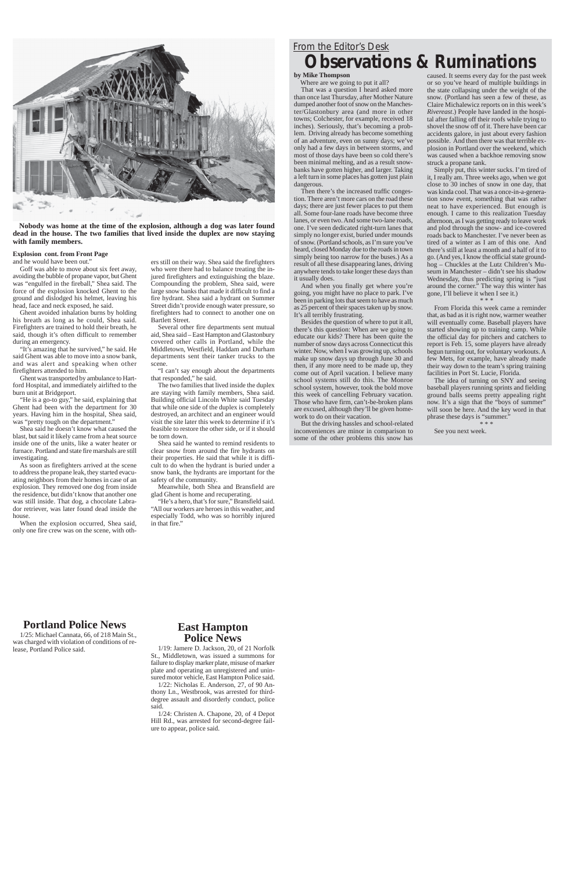#### **Explosion cont. from Front Page**

and he would have been out."

Goff was able to move about six feet away, avoiding the bubble of propane vapor, but Ghent was "engulfed in the fireball," Shea said. The force of the explosion knocked Ghent to the ground and dislodged his helmet, leaving his head, face and neck exposed, he said.

Ghent avoided inhalation burns by holding his breath as long as he could, Shea said. Firefighters are trained to hold their breath, he said, though it's often difficult to remember during an emergency.

"It's amazing that he survived," he said. He said Ghent was able to move into a snow bank, and was alert and speaking when other firefighters attended to him.

Ghent was transported by ambulance to Hartford Hospital, and immediately airlifted to the burn unit at Bridgeport.

"He is a go-to guy," he said, explaining that Ghent had been with the department for 30 years. Having him in the hospital, Shea said, was "pretty tough on the department."

Shea said he doesn't know what caused the blast, but said it likely came from a heat source inside one of the units, like a water heater or furnace. Portland and state fire marshals are still investigating.

As soon as firefighters arrived at the scene to address the propane leak, they started evacuating neighbors from their homes in case of an explosion. They removed one dog from inside the residence, but didn't know that another one was still inside. That dog, a chocolate Labrador retriever, was later found dead inside the house.

When the explosion occurred, Shea said, only one fire crew was on the scene, with oth-

"He's a hero, that's for sure," Bransfield said. "All our workers are heroes in this weather, and especially Todd, who was so horribly injured in that fire."

ers still on their way. Shea said the firefighters who were there had to balance treating the injured firefighters and extinguishing the blaze. Compounding the problem, Shea said, were large snow banks that made it difficult to find a fire hydrant. Shea said a hydrant on Summer Street didn't provide enough water pressure, so firefighters had to connect to another one on Bartlett Street.

Several other fire departments sent mutual aid, Shea said – East Hampton and Glastonbury covered other calls in Portland, while the Middletown, Westfield, Haddam and Durham departments sent their tanker trucks to the scene.

"I can't say enough about the departments that responded," he said.

The two families that lived inside the duplex are staying with family members, Shea said. Building official Lincoln White said Tuesday that while one side of the duplex is completely destroyed, an architect and an engineer would visit the site later this week to determine if it's feasible to restore the other side, or if it should be torn down.

Shea said he wanted to remind residents to clear snow from around the fire hydrants on their properties. He said that while it is difficult to do when the hydrant is buried under a snow bank, the hydrants are important for the safety of the community.

Meanwhile, both Shea and Bransfield are glad Ghent is home and recuperating.



**Nobody was home at the time of the explosion, although a dog was later found dead in the house. The two families that lived inside the duplex are now staying with family members.**

### *From the Editor's Desk* **Observations & Ruminations**

### **by Mike Thompson**

Where are we going to put it all?

The idea of turning on SNY and seeing baseball players running sprints and fielding ground balls seems pretty appealing right now. It's a sign that the "boys of summer" will soon be here. And the key word in that phrase these days is "summer."

That was a question I heard asked more than once last Thursday, after Mother Nature dumped another foot of snow on the Manchester/Glastonbury area (and more in other towns; Colchester, for example, received 18 inches). Seriously, that's becoming a problem. Driving already has become something of an adventure, even on sunny days; we've only had a few days in between storms, and most of those days have been so cold there's been minimal melting, and as a result snowbanks have gotten higher, and larger. Taking a left turn in some places has gotten just plain dangerous.

Then there's the increased traffic congestion. There aren't more cars on the road these days; there are just fewer places to put them all. Some four-lane roads have become three lanes, or even two. And some two-lane roads, one. I've seen dedicated right-turn lanes that simply no longer exist, buried under mounds of snow. (Portland schools, as I'm sure you've heard, closed Monday due to the roads in town simply being too narrow for the buses.) As a result of all these disappearing lanes, driving anywhere tends to take longer these days than it usually does.

And when you finally get where you're going, you might have no place to park. I've been in parking lots that seem to have as much as 25 percent of their spaces taken up by snow. It's all terribly frustrating.

Besides the question of where to put it all, there's this question: When are we going to educate our kids? There has been quite the number of snow days across Connecticut this winter. Now, when I was growing up, schools make up snow days up through June 30 and then, if any more need to be made up, they come out of April vacation. I believe many school systems still do this. The Monroe school system, however, took the bold move this week of cancelling February vacation. Those who have firm, can't-be-broken plans are excused, although they'll be given homework to do on their vacation.

But the driving hassles and school-related inconveniences are minor in comparison to some of the other problems this snow has

caused. It seems every day for the past week or so you've heard of multiple buildings in the state collapsing under the weight of the snow. (Portland has seen a few of these, as Claire Michalewicz reports on in this week's *Rivereast*.) People have landed in the hospital after falling off their roofs while trying to shovel the snow off of it. There have been car accidents galore, in just about every fashion possible. And then there was that terrible explosion in Portland over the weekend, which was caused when a backhoe removing snow struck a propane tank.

Simply put, this winter sucks. I'm tired of it, I really am. Three weeks ago, when we got close to 30 inches of snow in one day, that was kinda cool. That was a once-in-a-generation snow event, something that was rather neat to have experienced. But enough is enough. I came to this realization Tuesday afternoon, as I was getting ready to leave work and plod through the snow- and ice-covered roads back to Manchester. I've never been as tired of a winter as I am of this one. And there's still at least a month and a half of it to go. (And yes, I know the official state groundhog – Chuckles at the Lutz Children's Museum in Manchester – didn't see his shadow Wednesday, thus predicting spring is "just around the corner." The way this winter has gone, I'll believe it when I see it.)

\* \* \*

From Florida this week came a reminder that, as bad as it is right now, warmer weather will eventually come. Baseball players have started showing up to training camp. While the official day for pitchers and catchers to report is Feb. 15, some players have already begun turning out, for voluntary workouts. A few Mets, for example, have already made their way down to the team's spring training facilities in Port St. Lucie, Florida.

\* \* \*

See you next week.

### **Portland Police News**

1/25: Michael Cannata, 66, of 218 Main St.,

was charged with violation of conditions of release, Portland Police said.

**East Hampton Police News**

1/19: Jamere D. Jackson, 20, of 21 Norfolk St., Middletown, was issued a summons for failure to display marker plate, misuse of marker plate and operating an unregistered and uninsured motor vehicle, East Hampton Police said.

1/22: Nicholas E. Anderson, 27, of 90 Anthony Ln., Westbrook, was arrested for thirddegree assault and disorderly conduct, police said.

1/24: Christen A. Chapone, 20, of 4 Depot Hill Rd., was arrested for second-degree failure to appear, police said.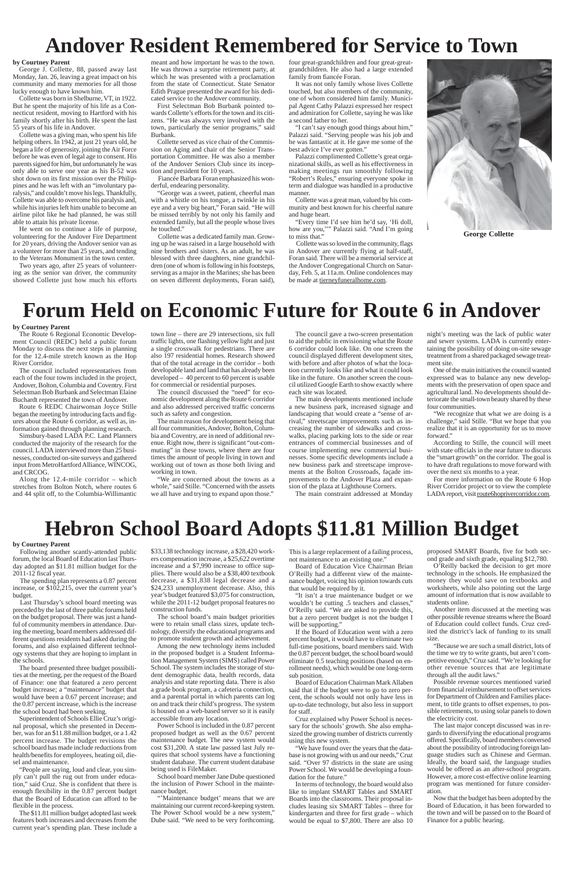# **Forum Held on Economic Future for Route 6 in Andover**

# **Andover Resident Remembered for Service to Town**



**George Collette**

#### **by Courtney Parent**

George J. Collette, 88, passed away last Monday, Jan. 26, leaving a great impact on his community and many memories for all those lucky enough to have known him.

Collette was born in Shelburne, VT, in 1922. But he spent the majority of his life as a Connecticut resident, moving to Hartford with his family shortly after his birth. He spent the last 55 years of his life in Andover.

Collette was a giving man, who spent his life helping others. In 1942, at just 21 years old, he began a life of generosity, joining the Air Force before he was even of legal age to consent. His parents signed for him, but unfortunately he was only able to serve one year as his B-52 was shot down on its first mission over the Philippines and he was left with an "involuntary paralysis," and couldn't move his legs. Thankfully, Collette was able to overcome his paralysis and, while his injuries left him unable to become an airline pilot like he had planned, he was still able to attain his private license.

He went on to continue a life of purpose, volunteering for the Andover Fire Department for 20 years, driving the Andover senior van as a volunteer for more than 25 years, and tending to the Veterans Monument in the town center.

Two years ago, after 25 years of volunteering as the senior van driver, the community showed Collette just how much his efforts

"I can't say enough good things about him," Palazzi said. "Serving people was his job and he was fantastic at it. He gave me some of the best advice I've ever gotten."

meant and how important he was to the town. He was thrown a surprise retirement party, at which he was presented with a proclamation from the state of Connecticut. State Senator Edith Prague presented the award for his dedicated service to the Andover community.

First Selectman Bob Burbank pointed towards Collette's efforts for the town and its citizens. "He was always very involved with the town, particularly the senior programs," said Burbank.

Collette served as vice chair of the Commission on Aging and chair of the Senior Transportation Committee. He was also a member of the Andover Seniors Club since its inception and president for 10 years.

Fiancée Barbara Foran emphasized his wonderful, endearing personality.

"George was a sweet, patient, cheerful man with a whistle on his tongue, a twinkle in his eye and a very big heart," Foran said. "He will be missed terribly by not only his family and extended family, but all the people whose lives he touched."

Collette was a dedicated family man. Growing up he was raised in a large household with nine brothers and sisters. As an adult, he was blessed with three daughters, nine grandchildren (one of whom is following in his footsteps, serving as a major in the Marines; she has been on seven different deployments, Foran said), four great-grandchildren and four great-greatgrandchildren. He also had a large extended family from fiancée Foran.

It was not only family whose lives Collette touched, but also members of the community, one of whom considered him family. Municipal Agent Cathy Palazzi expressed her respect and admiration for Collette, saying he was like a second father to her.

Palazzi complimented Collette's great organizational skills, as well as his effectiveness in making meetings run smoothly following "Robert's Rules," ensuring everyone spoke in term and dialogue was handled in a productive manner.

Collette was a great man, valued by his community and best known for his cheerful nature and huge heart.

> "We recognize that what we are doing is a challenge," said Stille. "But we hope that you realize that it is an opportunity for us to move forward."

"Every time I'd see him he'd say, 'Hi doll, how are you,''" Palazzi said. "And I'm going to miss that."

Collette was so loved in the community, flags in Andover are currently flying at half-staff, Foran said. There will be a memorial service at the Andover Congregational Church on Saturday, Feb. 5, at 11a.m. Online condolences may be made at tierneyfuneralhome.com.

> For more information on the Route 6 Hop River Corridor project or to view the complete LADA report, visit route6hoprivercorridor.com.

#### **by Courtney Parent**

The Route 6 Regional Economic Development Council (REDC) held a public forum Monday to discuss the next steps in planning for the 12.4-mile stretch known as the Hop River Corridor.

The council included representatives from each of the four towns included in the project, Andover, Bolton, Columbia and Coventry. First Selectman Bob Burbank and Selectman Elaine Buchardt represented the town of Andover.

Route 6 REDC Chairwoman Joyce Stille began the meeting by introducing facts and figures about the Route 6 corridor, as well as, information gained through planning research.

Simsbury-based LADA P.C. Land Planners conducted the majority of the research for the council. LADA interviewed more than 25 businesses, conducted on-site surveys and gathered input from MetroHartford Alliance, WINCOG, and CRCOG.

Along the 12.4-mile corridor – which stretches from Bolton Notch, where routes 6 and 44 split off, to the Columbia-Willimantic town line – there are 29 intersections, six full traffic lights, one flashing yellow light and just a single crosswalk for pedestrians. There are also 197 residential homes. Research showed that of the total acreage in the corridor – both developable land and land that has already been developed – 40 percent to 60 percent is usable for commercial or residential purposes.

The council discussed the "need" for economic development along the Route 6 corridor and also addressed perceived traffic concerns such as safety and congestion.

'Maintenance budget' means that we are maintaining our current record-keeping system. The Power School would be a new system," Dube said. "We need to be very forthcoming.

This is a large replacement of a failing process, not maintenance to an existing one."

The main reason for development being that all four communities, Andover, Bolton, Columbia and Coventry, are in need of additional revenue. Right now, there is significant "out-commuting" in these towns, where there are four times the amount of people living in town and working out of town as those both living and working in town.

"We are concerned about the towns as a whole," said Stille. "Concerned with the assets we all have and trying to expand upon those."

> "We have found over the years that the database is not growing with us and our needs," Cruz said. "Over 97 districts in the state are using Power School. We would be developing a foundation for the future."

The council gave a two-screen presentation to aid the public in envisioning what the Route 6 corridor could look like. On one screen the council displayed different development sites, with before and after photos of what the location currently looks like and what it could look like in the future. On another screen the council utilized Google Earth to show exactly where each site was located.

The main developments mentioned include a new business park, increased signage and landscaping that would create a "sense of arrival," streetscape improvements such as increasing the number of sidewalks and crosswalks, placing parking lots to the side or rear entrances of commercial businesses and of course implementing new commercial businesses. Some specific developments include a new business park and streetscape improvements at the Bolton Crossroads, façade improvements to the Andover Plaza and expansion of the plaza at Lighthouse Corners.

The main constraint addressed at Monday

night's meeting was the lack of public water and sewer systems. LADA is currently entertaining the possibility of doing on-site sewage treatment from a shared packaged sewage treatment site.

One of the main initiatives the council wanted expressed was to balance any new developments with the preservation of open space and agricultural land. No developments should deteriorate the small-town beauty shared by these four communities.

According to Stille, the council will meet with state officials in the near future to discuss the "smart growth" on the corridor. The goal is to have draft regulations to move forward with over the next six months to a year.

# **Hebron School Board Adopts \$11.81 Million Budget**

#### **by Courtney Parent**

Following another scantly-attended public forum, the local Board of Education last Thursday adopted an \$11.81 million budget for the 2011-12 fiscal year.

The spending plan represents a 0.87 percent increase, or \$102,215, over the current year's budget.

Last Thursday's school board meeting was preceded by the last of three public forums held on the budget proposal. There was just a handful of community members in attendance. During the meeting, board members addressed different questions residents had asked during the forums, and also explained different technology systems that they are hoping to implant in the schools. The board presented three budget possibilities at the meeting, per the request of the Board of Finance: one that featured a zero percent budget increase; a "maintenance" budget that would have been a 0.67 percent increase; and the 0.87 percent increase, which is the increase the school board had been seeking. Superintendent of Schools Ellie Cruz's original proposal, which she presented in December, was for an \$11.88 million budget, or a 1.42 percent increase. The budget revisions the school board has made include reductions from health/benefits for employees, heating oil, diesel and maintenance.

"People are saying, loud and clear, you simply can't pull the rug out from under education," said Cruz. She is confident that there is enough flexibility in the 0.87 percent budget that the Board of Education can afford to be flexible in the process.

The \$11.81 million budget adopted last week features both increases and decreases from the current year's spending plan. These include a

\$33,138 technology increase, a \$28,420 workers compensation increase, a \$25,622 overtime increase and a \$7,990 increase to office supplies. There would also be a \$38,400 textbook decrease, a \$31,838 legal decrease and a \$24,233 unemployment decrease. Also, this year's budget featured \$3,075 for construction, while the 2011-12 budget proposal features no construction funds.

The school board's main budget priorities were to retain small class sizes, update technology, diversify the educational programs and to promote student growth and achievement.

Among the new technology items included in the proposed budget is a Student Information Management System (SIMS) called Power School. The system includes the storage of student demographic data, health records, data analysis and state reporting data. There is also a grade book program, a cafeteria connection, and a parental portal in which parents can log on and track their child's progress. The system is housed on a web-based server so it is easily accessible from any location.

Power School is included in the 0.87 percent proposed budget as well as the 0.67 percent maintenance budget. The new system would cost \$31,200. A state law passed last July requires that school systems have a functioning student database. The current student database being used is FileMaker.

School board member Jane Dube questioned the inclusion of Power School in the maintenance budget.

Board of Education Vice Chairman Brian O'Reilly had a different view of the maintenance budget, voicing his opinion towards cuts that would be required by it.

"It isn't a true maintenance budget or we wouldn't be cutting .5 teachers and classes,' O'Reilly said. "We are asked to provide this, but a zero percent budget is not the budget I will be supporting."

If the Board of Education went with a zero percent budget, it would have to eliminate two full-time positions, board members said. With the 0.87 percent budget, the school board would eliminate 0.5 teaching positions (based on enrollment needs), which would be one long-term sub position. Board of Education Chairman Mark Allaben said that if the budget were to go to zero percent, the schools would not only have less in up-to-date technology, but also less in support for staff.

Cruz explained why Power School is necessary for the schools' growth. She also emphasized the growing number of districts currently using this new system.

In terms of technology, the board would also like to implant SMART Tables and SMART Boards into the classrooms. Their proposal includes leasing six SMART Tables – three for kindergarten and three for first grade – which would be equal to \$7,800. There are also 10

proposed SMART Boards, five for both second grade and sixth grade, equaling \$12,780.

O'Reilly backed the decision to get more technology in the schools. He emphasized the money they would save on textbooks and worksheets, while also pointing out the large amount of information that is now available to students online.

Another item discussed at the meeting was other possible revenue streams where the Board of Education could collect funds. Cruz credited the district's lack of funding to its small size.

"Because we are such a small district, lots of the time we try to write grants, but aren't competitive enough," Cruz said. "We're looking for other revenue sources that are legitimate through all the audit laws."

Possible revenue sources mentioned varied from financial reimbursement to offset services for Department of Children and Families placement, to title grants to offset expenses, to possible retirements, to using solar panels to down the electricity cost.

The last major concept discussed was in regards to diversifying the educational programs offered. Specifically, board members conversed about the possibility of introducing foreign language studies such as Chinese and German. Ideally, the board said, the language studies would be offered as an after-school program. However, a more cost-effective online learning program was mentioned for future consideration.

Now that the budget has been adopted by the Board of Education, it has been forwarded to the town and will be passed on to the Board of Finance for a public hearing.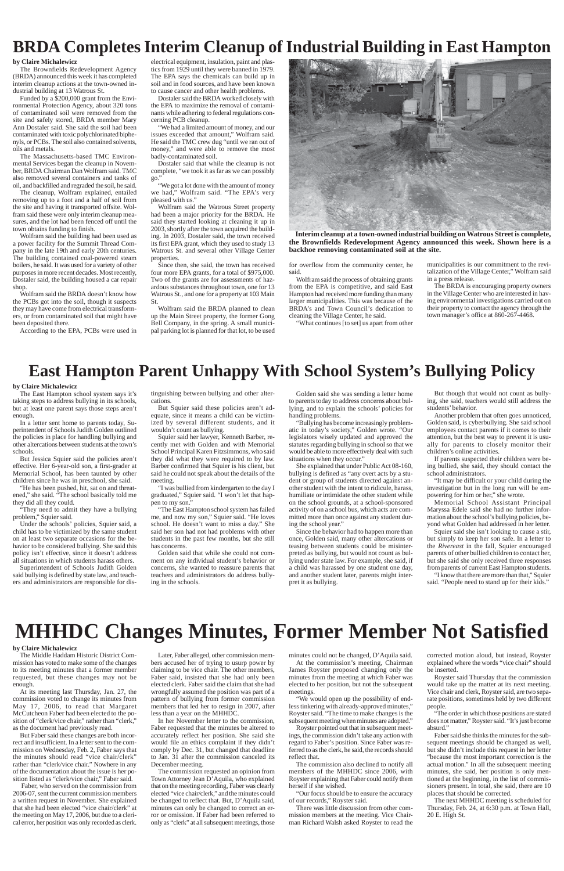### **BRDA Completes Interim Cleanup of Industrial Building in East Hampton**

**Interim cleanup at a town-owned industrial building on Watrous Street is complete, the Brownfields Redevelopment Agency announced this week. Shown here is a backhoe removing contaminated soil at the site.**

#### **by Claire Michalewicz**

The Brownfields Redevelopment Agency (BRDA) announced this week it has completed interim cleanup actions at the town-owned industrial building at 13 Watrous St.

Funded by a \$200,000 grant from the Environmental Protection Agency, about 320 tons of contaminated soil were removed from the site and safely stored, BRDA member Mary Ann Dostaler said. She said the soil had been contaminated with toxic polychlorinated biphenyls, or PCBs. The soil also contained solvents, oils and metals.

The Massachusetts-based TMC Environmental Services began the cleanup in November, BRDA Chairman Dan Wolfram said. TMC also removed several containers and tanks of oil, and backfilled and regraded the soil, he said.

The cleanup, Wolfram explained, entailed removing up to a foot and a half of soil from the site and having it transported offsite. Wolfram said these were only interim cleanup measures, and the lot had been fenced off until the town obtains funding to finish.

Wolfram said the building had been used as a power facility for the Summit Thread Company in the late 19th and early 20th centuries. The building contained coal-powered steam boilers, he said. It was used for a variety of other purposes in more recent decades. Most recently, Dostaler said, the building housed a car repair shop.

Wolfram said the BRDA doesn't know how the PCBs got into the soil, though it suspects they may have come from electrical transformers, or from contaminated soil that might have been deposited there.

According to the EPA, PCBs were used in

electrical equipment, insulation, paint and plastics from 1929 until they were banned in 1979. The EPA says the chemicals can build up in soil and in food sources, and have been known to cause cancer and other health problems.

Dostaler said the BRDA worked closely with the EPA to maximize the removal of contaminants while adhering to federal regulations concerning PCB cleanup.

"We had a limited amount of money, and our issues exceeded that amount," Wolfram said. He said the TMC crew dug "until we ran out of money," and were able to remove the most badly-contaminated soil.

Dostaler said that while the cleanup is not complete, "we took it as far as we can possibly go."

"We got a lot done with the amount of money we had," Wolfram said. "The EPA's very pleased with us."

Wolfram said the Watrous Street property had been a major priority for the BRDA. He said they started looking at cleaning it up in 2003, shortly after the town acquired the building. In 2003, Dostaler said, the town received its first EPA grant, which they used to study 13 Watrous St. and several other Village Center properties.

Since then, she said, the town has received four more EPA grants, for a total of \$975,000. Two of the grants are for assessments of hazardous substances throughout town, one for 13 Watrous St., and one for a property at 103 Main St.

Wolfram said the BRDA planned to clean up the Main Street property, the former Gong Bell Company, in the spring. A small municipal parking lot is planned for that lot, to be used



### **East Hampton Parent Unhappy With School System's Bullying Policy**

#### **by Claire Michalewicz**

The East Hampton school system says it's taking steps to address bullying in its schools, but at least one parent says those steps aren't enough.

In a letter sent home to parents today, Superintendent of Schools Judith Golden outlined the policies in place for handling bullying and other altercations between students at the town's schools.

But Jessica Squier said the policies aren't effective. Her 6-year-old son, a first-grader at Memorial School, has been taunted by other children since he was in preschool, she said.

"He has been pushed, hit, sat on and threatened," she said. "The school basically told me they did all they could.

"They need to admit they have a bullying problem," Squier said.

Under the schools' policies, Squier said, a child has to be victimized by the same student on at least two separate occasions for the behavior to be considered bullying. She said this policy isn't effective, since it doesn't address all situations in which students harass others.

Superintendent of Schools Judith Golden said bullying is defined by state law, and teachers and administrators are responsible for distinguishing between bullying and other altercations.

But Squier said these policies aren't adequate, since it means a child can be victimized by several different students, and it wouldn't count as bullying.

Squier said her lawyer, Kenneth Barber, recently met with Golden and with Memorial School Principal Karen Fitzsimmons, who said they did what they were required to by law. Barber confirmed that Squier is his client, but said he could not speak about the details of the meeting.

"I was bullied from kindergarten to the day I graduated," Squier said. "I won't let that happen to my son."

"The East Hampton school system has failed me, and now my son," Squier said. "He loves school. He doesn't want to miss a day." She said her son had not had problems with other students in the past few months, but she still has concerns.

Golden said that while she could not comment on any individual student's behavior or concerns, she wanted to reassure parents that teachers and administrators do address bullying in the schools.

Golden said she was sending a letter home to parents today to address concerns about bullying, and to explain the schools' policies for handling problems.

"Bullying has become increasingly problematic in today's society," Golden wrote. "Our legislators wisely updated and approved the statutes regarding bullying in school so that we would be able to more effectively deal with such situations when they occur."

She explained that under Public Act 08-160, bullying is defined as "any overt acts by a student or group of students directed against another student with the intent to ridicule, harass, humiliate or intimidate the other student while on the school grounds, at a school-sponsored activity of on a school bus, which acts are committed more than once against any student during the school year."

Since the behavior had to happen more than once, Golden said, many other altercations or teasing between students could be misinterpreted as bullying, but would not count as bullying under state law. For example, she said, if a child was harassed by one student one day, and another student later, parents might interpret it as bullying.

But though that would not count as bullying, she said, teachers would still address the students' behavior.

Another problem that often goes unnoticed, Golden said, is cyberbullying. She said school employees contact parents if it comes to their attention, but the best way to prevent it is usually for parents to closely monitor their children's online activities.

If parents suspected their children were being bullied, she said, they should contact the school administrators.

"It may be difficult or your child during the investigation but in the long run will be empowering for him or her," she wrote.

Memorial School Assistant Principal Maryssa Edele said she had no further information about the school's bullying policies, beyond what Golden had addressed in her letter.

Squier said she isn't looking to cause a stir, but simply to keep her son safe. In a letter to the *Rivereast* in the fall, Squier encouraged parents of other bullied children to contact her, but she said she only received three responses from parents of current East Hampton students.

"I know that there are more than that," Squier said. "People need to stand up for their kids."

for overflow from the community center, he said.

Wolfram said the process of obtaining grants from the EPA is competitive, and said East Hampton had received more funding than many larger municipalities. This was because of the BRDA's and Town Council's dedication to cleaning the Village Center, he said.

"What continues [to set] us apart from other

municipalities is our commitment to the revitalization of the Village Center," Wolfram said in a press release.

The BRDA is encouraging property owners in the Village Center who are interested in having environmental investigations carried out on their property to contact the agency through the town manager's office at 860-267-4468.

# **MHHDC Changes Minutes, Former Member Not Satisfied**

#### **by Claire Michalewicz**

The Middle Haddam Historic District Commission has voted to make some of the changes to its meeting minutes that a former member requested, but these changes may not be enough.

At its meeting last Thursday, Jan. 27, the commission voted to change its minutes from May 17, 2006, to read that Margaret McCutcheon Faber had been elected to the position of "clerk/vice chair," rather than "clerk," as the document had previously read.

But Faber said these changes are both incorrect and insufficient. In a letter sent to the commission on Wednesday, Feb. 2, Faber says that the minutes should read "vice chair/clerk" rather than "clerk/vice chair." Nowhere in any of the documentation about the issue is her position listed as "clerk/vice chair," Faber said.

 Faber, who served on the commission from 2006-07, sent the current commission members a written request in November. She explained that she had been elected "vice chair/clerk" at the meeting on May 17, 2006, but due to a clerical error, her position was only recorded as clerk.

Later, Faber alleged, other commission members accused her of trying to usurp power by claiming to be vice chair. The other members, Faber said, insisted that she had only been elected clerk. Faber said the claim that she had wrongfully assumed the position was part of a pattern of bullying from former commission members that led her to resign in 2007, after less than a year on the MHHDC.

In her November letter to the commission, Faber requested that the minutes be altered to accurately reflect her position. She said she would file an ethics complaint if they didn't comply by Dec. 31, but changed that deadline to Jan. 31 after the commission canceled its December meeting.

The commission requested an opinion from Town Attorney Jean D'Aquila, who explained that on the meeting recording, Faber was clearly elected "vice chair/clerk," and the minutes could be changed to reflect that. But, D'Aquila said, minutes can only be changed to correct an error or omission. If Faber had been referred to only as "clerk" at all subsequent meetings, those minutes could not be changed, D'Aquila said.

At the commission's meeting, Chairman James Royster proposed changing only the minutes from the meeting at which Faber was elected to her position, but not the subsequent meetings.

"We would open up the possibility of endless tinkering with already-approved minutes," Royster said. "The time to make changes is the subsequent meeting when minutes are adopted."

Royster pointed out that in subsequent meetings, the commission didn't take any action with regard to Faber's position. Since Faber was referred to as the clerk, he said, the records should reflect that.

The commission also declined to notify all members of the MHHDC since 2006, with Royster explaining that Faber could notify them herself if she wished.

"Our focus should be to ensure the accuracy of our records," Royster said.

There was little discussion from other commission members at the meeting. Vice Chairman Richard Walsh asked Royster to read the corrected motion aloud, but instead, Royster explained where the words "vice chair" should be inserted.

Royster said Thursday that the commission would take up the matter at its next meeting. Vice chair and clerk, Royster said, are two separate positions, sometimes held by two different people.

"The order in which those positions are stated does not matter," Royster said. "It's just become absurd."

Faber said she thinks the minutes for the subsequent meetings should be changed as well, but she didn't include this request in her letter "because the most important correction is the actual motion." In all the subsequent meeting minutes, she said, her position is only mentioned at the beginning, in the list of commissioners present. In total, she said, there are 10 places that should be corrected.

The next MHHDC meeting is scheduled for Thursday, Feb. 24, at 6:30 p.m. at Town Hall, 20 E. High St.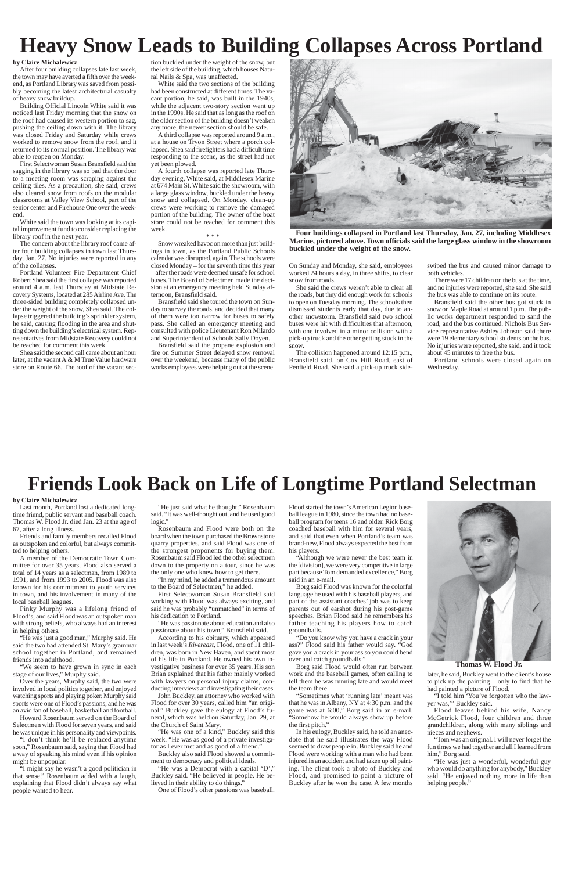# **Heavy Snow Leads to Building Collapses Across Portland**

# **Friends Look Back on Life of Longtime Portland Selectman**

#### **by Claire Michalewicz**

After four building collapses late last week, the town may have averted a fifth over the weekend, as Portland Library was saved from possibly becoming the latest architectural casualty of heavy snow buildup.

Building Official Lincoln White said it was noticed last Friday morning that the snow on the roof had caused its western portion to sag, pushing the ceiling down with it. The library was closed Friday and Saturday while crews worked to remove snow from the roof, and it returned to its normal position. The library was able to reopen on Monday.

First Selectwoman Susan Bransfield said the sagging in the library was so bad that the door to a meeting room was scraping against the ceiling tiles. As a precaution, she said, crews also cleared snow from roofs on the modular classrooms at Valley View School, part of the senior center and Firehouse One over the weekend.

White said the town was looking at its capital improvement fund to consider replacing the library roof in the next year.

The concern about the library roof came after four building collapses in town last Thursday, Jan. 27. No injuries were reported in any of the collapses.

Portland Volunteer Fire Department Chief Robert Shea said the first collapse was reported around 4 a.m. last Thursday at Midstate Recovery Systems, located at 285 Airline Ave. The three-sided building completely collapsed under the weight of the snow, Shea said. The collapse triggered the building's sprinkler system, he said, causing flooding in the area and shutting down the building's electrical system. Representatives from Midstate Recovery could not be reached for comment this week.

Shea said the second call came about an hour later, at the vacant A & M True Value hardware store on Route 66. The roof of the vacant section buckled under the weight of the snow, but the left side of the building, which houses Natural Nails & Spa, was unaffected.

White said the two sections of the building had been constructed at different times. The vacant portion, he said, was built in the 1940s, while the adjacent two-story section went up in the 1990s. He said that as long as the roof on the older section of the building doesn't weaken any more, the newer section should be safe.

A third collapse was reported around 9 a.m., at a house on Tryon Street where a porch collapsed. Shea said firefighters had a difficult time responding to the scene, as the street had not yet been plowed.

A fourth collapse was reported late Thursday evening, White said, at Middlesex Marine at 674 Main St. White said the showroom, with a large glass window, buckled under the heavy snow and collapsed. On Monday, clean-up crews were working to remove the damaged portion of the building. The owner of the boat store could not be reached for comment this week.

#### \* \* \*

Snow wreaked havoc on more than just buildings in town, as the Portland Public Schools calendar was disrupted, again. The schools were closed Monday – for the seventh time this year – after the roads were deemed unsafe for school buses. The Board of Selectmen made the decision at an emergency meeting held Sunday afternoon, Bransfield said.

Bransfield said she toured the town on Sunday to survey the roads, and decided that many of them were too narrow for buses to safely pass. She called an emergency meeting and consulted with police Lieutenant Ron Milardo and Superintendent of Schools Sally Doyen.

Bransfield said the propane explosion and fire on Summer Street delayed snow removal over the weekend, because many of the public works employees were helping out at the scene.

**Thomas W. Flood Jr.**

#### **by Claire Michalewicz**

Last month, Portland lost a dedicated longtime friend, public servant and baseball coach. Thomas W. Flood Jr. died Jan. 23 at the age of 67, after a long illness.

Friends and family members recalled Flood as outspoken and colorful, but always committed to helping others.

A member of the Democratic Town Committee for over 35 years, Flood also served a total of 14 years as a selectman, from 1989 to 1991, and from 1993 to 2005. Flood was also known for his commitment to youth services in town, and his involvement in many of the local baseball leagues.

Pinky Murphy was a lifelong friend of Flood's, and said Flood was an outspoken man with strong beliefs, who always had an interest in helping others.

"He was just a good man," Murphy said. He said the two had attended St. Mary's grammar school together in Portland, and remained friends into adulthood.

"We seem to have grown in sync in each stage of our lives," Murphy said.

Over the years, Murphy said, the two were involved in local politics together, and enjoyed watching sports and playing poker. Murphy said sports were one of Flood's passions, and he was an avid fan of baseball, basketball and football.

Howard Rosenbaum served on the Board of Selectmen with Flood for seven years, and said he was unique in his personality and viewpoints.

"I don't think he'll be replaced anytime soon," Rosenbaum said, saying that Flood had a way of speaking his mind even if his opinion might be unpopular.

"I might say he wasn't a good politician in that sense," Rosenbaum added with a laugh, explaining that Flood didn't always say what people wanted to hear.

"He just said what he thought," Rosenbaum said. "It was well-thought out, and he used good logic."

Rosenbaum and Flood were both on the board when the town purchased the Brownstone quarry properties, and said Flood was one of the strongest proponents for buying them. Rosenbaum said Flood led the other selectmen down to the property on a tour, since he was the only one who knew how to get there.

"In my mind, he added a tremendous amount to the Board of Selectmen," he added.

First Selectwoman Susan Bransfield said working with Flood was always exciting, and said he was probably "unmatched" in terms of his dedication to Portland.

"He was passionate about education and also passionate about his town," Bransfield said.

According to his obituary, which appeared

in last week's *Rivereast*, Flood, one of 11 children, was born in New Haven, and spent most of his life in Portland. He owned his own investigative business for over 35 years. His son Brian explained that his father mainly worked with lawyers on personal injury claims, conducting interviews and investigating their cases.

John Buckley, an attorney who worked with Flood for over 30 years, called him "an original." Buckley gave the eulogy at Flood's funeral, which was held on Saturday, Jan. 29, at the Church of Saint Mary.

"He was one of a kind," Buckley said this week. "He was as good of a private investigator as I ever met and as good of a friend."

Buckley also said Flood showed a commitment to democracy and political ideals.

"He was a Democrat with a capital 'D'," Buckley said. "He believed in people. He believed in their ability to do things."

One of Flood's other passions was baseball.

Flood started the town's American Legion baseball league in 1980, since the town had no baseball program for teens 16 and older. Rick Borg coached baseball with him for several years, and said that even when Portland's team was brand-new, Flood always expected the best from his players.

"Although we were never the best team in the [division], we were very competitive in large part because Tom demanded excellence," Borg said in an e-mail.

Borg said Flood was known for the colorful language he used with his baseball players, and part of the assistant coaches' job was to keep parents out of earshot during his post-game speeches. Brian Flood said he remembers his father teaching his players how to catch groundballs.

"Do you know why you have a crack in your



ass?" Flood said his father would say. "God gave you a crack in your ass so you could bend over and catch groundballs."

Borg said Flood would often run between work and the baseball games, often calling to tell them he was running late and would meet the team there.

"Sometimes what 'running late' meant was that he was in Albany, NY at 4:30 p.m. and the game was at 6:00," Borg said in an e-mail. "Somehow he would always show up before the first pitch."

In his eulogy, Buckley said, he told an anecdote that he said illustrates the way Flood seemed to draw people in. Buckley said he and Flood were working with a man who had been injured in an accident and had taken up oil painting. The client took a photo of Buckley and Flood, and promised to paint a picture of Buckley after he won the case. A few months

On Sunday and Monday, she said, employees worked 24 hours a day, in three shifts, to clear snow from roads.

She said the crews weren't able to clear all the roads, but they did enough work for schools to open on Tuesday morning. The schools then dismissed students early that day, due to another snowstorm. Bransfield said two school buses were hit with difficulties that afternoon, with one involved in a minor collision with a pick-up truck and the other getting stuck in the snow.

The collision happened around 12:15 p.m., Bransfield said, on Cox Hill Road, east of Penfield Road. She said a pick-up truck sideswiped the bus and caused minor damage to both vehicles.

There were 17 children on the bus at the time, and no injuries were reported, she said. She said the bus was able to continue on its route.

Bransfield said the other bus got stuck in snow on Maple Road at around 1 p.m. The public works department responded to sand the road, and the bus continued. Nichols Bus Service representative Ashley Johnson said there were 19 elementary school students on the bus. No injuries were reported, she said, and it took about 45 minutes to free the bus.

Portland schools were closed again on Wednesday.



**Four buildings collapsed in Portland last Thursday, Jan. 27, including Middlesex Marine, pictured above. Town officials said the large glass window in the showroom buckled under the weight of the snow.**

later, he said, Buckley went to the client's house to pick up the painting – only to find that he had painted a picture of Flood.

"I told him 'You've forgotten who the lawyer was,'" Buckley said.

Flood leaves behind his wife, Nancy McGetrick Flood, four children and three grandchildren, along with many siblings and nieces and nephews.

"Tom was an original. I will never forget the fun times we had together and all I learned from him," Borg said.

"He was just a wonderful, wonderful guy who would do anything for anybody," Buckley said. "He enjoyed nothing more in life than helping people."